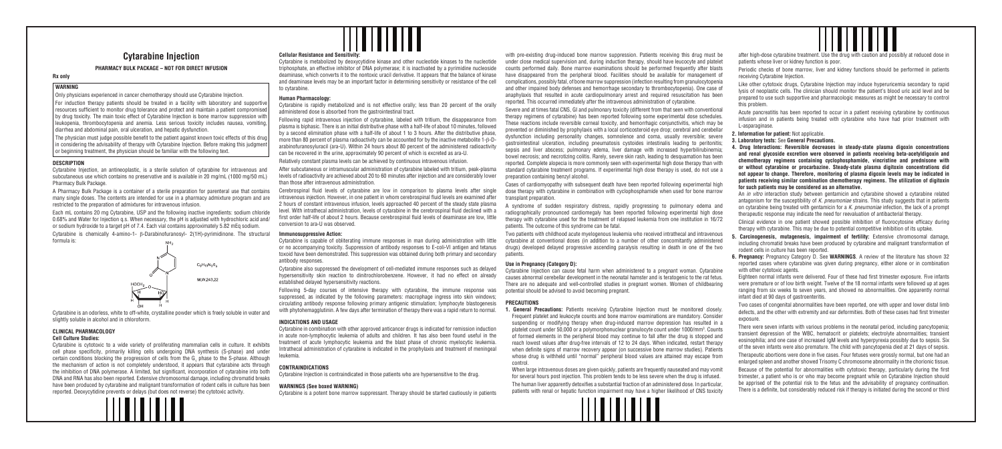# **Cytarabine Injection**

## **PHARMACY BULK PACKAGE – NOT FOR DIRECT INFUSION**

## **Rx only WARNING**

## Only physicians experienced in cancer chemotherapy should use Cytarabine Injection.

For induction therapy patients should be treated in a facility with laboratory and supportive resources sufficient to monitor drug tolerance and protect and maintain a patient compromised by drug toxicity. The main toxic effect of Cytarabine Injection is bone marrow suppression with leukopenia, thrombocytopenia and anemia. Less serious toxicity includes nausea, vomiting, diarrhea and abdominal pain, oral ulceration, and hepatic dysfunction.

The physician must judge possible benefit to the patient against known toxic effects of this drug In considering the advisability of therapy with Cytarabine Injection. Before making this judgment or beginning treatment, the physician should be familiar with the following text.

## **DESCRIPTION**

Cytarabine Injection, an antineoplastic, is a sterile solution of cytarabine for intravenous and subcutaneous use which contains no preservative and is available in 20 mg/mL (1000 mg/50 mL) Pharmacy Bulk Package.

A Pharmacy Bulk Package is a container of a sterile preparation for parenteral use that contains many single doses. The contents are intended for use in a pharmacy admixture program and are restricted to the preparation of admixtures for intravenous infusion.

Each mL contains 20 mg Cytarabine, USP and the following inactive ingredients: sodium chloride 0.68% and Water for Injection q.s. When necessary, the pH is adjusted with hydrochloric acid and/ or sodium hydroxide to a target pH of 7.4. Each vial contains approximately 5.82 mEq sodium.

Cytarabine is chemically 4-amino-1- β-Darabinofuranosyl- 2(1H)-pyrimidinone. The structural formula is:



Cytarabine is an odorless, white to off-white, crystalline powder which is freely soluble in water and slightly soluble in alcohol and in chloroform.

## **CLINICAL PHARMACOLOGY Cell Culture Studies:**

Cytarabine is cytotoxic to a wide variety of proliferating mammalian cells in culture. It exhibits cell phase specificity, primarily killing cells undergoing DNA synthesis (S-phase) and under certain conditions blocking the progression of cells from the  ${\tt G_{_1}}$  phase to the S-phase. Although the mechanism of action is not completely understood, it appears that cytarabine acts through the inhibition of DNA polymerase. A limited, but significant, incorporation of cytarabine into both DNA and RNA has also been reported. Extensive chromosomal damage, including chromatid breaks have been produced by cytarabine and malignant transformation of rodent cells in culture has been reported. Deoxycytidine prevents or delays (but does not reverse) the cytotoxic activity.



## **Cellular Resistance and Sensitiv**

Cytarabine is metabolized by deoxycytidine kinase and other nucleotide kinases to the nucleotide triphosphate, an effective inhibitor of DNA polymerase; it is inactivated by a pyrimidine nucleoside deaminase, which converts it to the nontoxic uracil derivative. It appears that the balance of kinase and deaminase levels may be an important factor in determining sensitivity or resistance of the cell to cytarabine.

## **Human Pharmacology:**

Cytarabine is rapidly metabolized and is not effective orally; less than 20 percent of the orally administered dose is absorbed from the gastrointestinal tract.

Following rapid intravenous injection of cytarabine, labeled with tritium, the disappearance from plasma is biphasic. There is an initial distributive phase with a half-life of about 10 minutes, followed by a second elimination phase with a half-life of about 1 to 3 hours. After the distributive phase, more than 80 percent of plasma radioactivity can be accounted for by the inactive metabolite 1-β-Darabinofuranosyluracil (ara-U). Within 24 hours about 80 percent of the administered radioactivity can be recovered in the urine, approximately 90 percent of which is excreted as ara-U.

Relatively constant plasma levels can be achieved by continuous intravenous infusion.

After subcutaneous or intramuscular administration of cytarabine labeled with tritium, peak-plasma levels of radioactivity are achieved about 20 to 60 minutes after injection and are considerably lower than those after intravenous administration.

Cerebrospinal fluid levels of cytarabine are low in comparison to plasma levels after single intravenous injection. However, in one patient in whom cerebrospinal fluid levels are examined after 2 hours of constant intravenous infusion, levels approached 40 percent of the steady state plasma level. With intrathecal administration, levels of cytarabine in the cerebrospinal fluid declined with a first order half-life of about 2 hours. Because cerebrospinal fluid levels of deaminase are low, little conversion to ara-U was observed.

## **Immunosuppressive Action:**

Cytarabine is capable of obliterating immune responses in man during administration with little or no accompanying toxicity. Suppression of antibody responses to E-coli-VI antigen and tetanus toxoid have been demonstrated. This suppression was obtained during both primary and secondary antibody responses.

Cytarabine also suppressed the development of cell-mediated immune responses such as delayed hypersensitivity skin reaction to dinitrochlorobenzene. However, it had no effect on already established delayed hypersensitivity reactions.

Following 5-day courses of intensive therapy with cytarabine, the immune response was suppressed, as indicated by the following parameters: macrophage ingress into skin windows; circulating antibody response following primary antigenic stimulation; lymphocyte blastogenesis with phytohemagglutinin. A few days after termination of therapy there was a rapid return to normal.

## **INDICATIONS AND USAGE**

Cytarabine in combination with other approved anticancer drugs is indicated for remission induction in acute non-lymphocytic leukemia of adults and children. It has also been found useful in the treatment of acute lymphocytic leukemia and the blast phase of chronic myelocytic leukemia. Intrathecal administration of cytarabine is indicated in the prophylaxis and treatment of meningeal leukemia.

## **CONTRAINDICATIONS**

Cytarabine Injection is contraindicated in those patients who are hypersensitive to the drug.

## **WARNINGS (See boxed WARNING)**

Cytarabine is a potent bone marrow suppressant. Therapy should be started cautiously in patients

with pre-existing drug-induced bone marrow suppression. Patients receiving this drug must be under close medical supervision and, during induction therapy, should have leucocyte and platelet counts performed daily. Bone marrow examinations should be performed frequently after blasts have disappeared from the peripheral blood. Facilities should be available for management of complications, possibly fatal, of bone marrow suppression (infection resulting from granulocytopenia and other impaired body defenses and hemorrhage secondary to thrombocytopenia). One case of anaphylaxis that resulted in acute cardiopulmonary arrest and required resuscitation has been reported. This occurred immediately after the intravenous administration of cytarabine.

Severe and at times fatal CNS, GI and pulmonary toxicity (different from that seen with conventional therapy regimens of cytarabine) has been reported following some experimental dose schedules. These reactions include reversible corneal toxicity, and hemorrhagic conjunctivitis, which may be prevented or diminished by prophylaxis with a local corticosteroid eye drop; cerebral and cerebellar dysfunction including personality changes, somnolence and coma, usually reversible; severe gastrointestinal ulceration, including pneumatosis cystoides intestinalis leading to peritonitis; sepsis and liver abscess; pulmonary edema, liver damage with increased hyperbilirubinemia; bowel necrosis; and necrotizing colitis. Rarely, severe skin rash, leading to desquamation has been reported. Complete alopecia is more commonly seen with experimental high dose therapy than with standard cytarabine treatment programs. If experimental high dose therapy is used, do not use a preparation containing benzyl alcohol.

Cases of cardiomyopathy with subsequent death have been reported following experimental high dose therapy with cytarabine in combination with cyclophosphamide when used for bone marrow transplant preparation.

A syndrome of sudden respiratory distress, rapidly progressing to pulmonary edema and radiographically pronounced cardiomegaly has been reported following experimental high dose therapy with cytarabine used for the treatment of relapsed leukemia from one institution in 16/72 patients. The outcome of this syndrome can be fatal.

Two patients with childhood acute myelogenous leukemia who received intrathecal and intravenous cytarabine at conventional doses (in addition to a number of other concomitantly administered drugs) developed delayed progressive ascending paralysis resulting in death in one of the two patients.

#### **Use in Pregnancy (Category D):**

Cytarabine Injection can cause fetal harm when administered to a pregnant woman. Cytarabine causes abnormal cerebellar development in the neonatal hamster and is teratogenic to the rat fetus. There are no adequate and well-controlled studies in pregnant women. Women of childbearing potential should be advised to avoid becoming pregnant.

## **PRECAUTIONS**

**1. General Precautions:** Patients receiving Cytarabine Injection must be monitored closely. Frequent platelet and leukocyte counts and bone marrow examinations are mandatory. Consider suspending or modifying therapy when drug-induced marrow depression has resulted in a platelet count under 50,000 or a polymorphonuclear granulocyte count under 1000/mm3 . Counts of formed elements in the peripheral blood may continue to fall after the drug is stopped and reach lowest values after drug-free intervals of 12 to 24 days. When indicated, restart therapy when definite signs of marrow recovery appear (on successive bone marrow studies). Patients whose drug is withheld until "normal" peripheral blood values are attained may escape from control.

When large intravenous doses are given quickly, patients are frequently nauseated and may vomit for several hours post injection. This problem tends to be less severe when the drug is infused.

The human liver apparently detoxifies a substantial fraction of an administered dose. In particular, patients with renal or hepatic function impairment may have a higher likelihood of CNS toxicity





after high-dose cytarabine treatment. Use the drug with caution and possibly at reduced dose in patients whose liver or kidney function is poor.

Periodic checks of bone marrow, liver and kidney functions should be performed in patients receiving Cytarabine Injection.

Like other cytotoxic drugs, Cytarabine Injection may induce hyperuricemia secondary to rapid lysis of neoplastic cells. The clinician should monitor the patient's blood uric acid level and be prepared to use such supportive and pharmacologic measures as might be necessary to control this problem.

Acute pancreatitis has been reported to occur in a patient receiving cytarabine by continuous infusion and in patients being treated with cytarabine who have had prior treatment with L-asparaginase.

- **2. Information for patient:** Not applicable.
- **3. Laboratory tests:** See **General Precautions.**

**4. Drug Interactions: Reversible decreases in steady-state plasma digoxin concentrations and renal glycoside excretion were observed in patients receiving beta-acetyldigoxin and chemotherapy regimens containing cyclophosphamide, vincristine and prednisone with or without cytarabine or procarbazine. Steady-state plasma digitoxin concentrations did not appear to change. Therefore, monitoring of plasma digoxin levels may be indicated in patients receiving similar combination chemotherapy regimens. The utilization of digitoxin for such patients may be considered as an alternative.**

An *in vitro* interaction study between gentamicin and cytarabine showed a cytarabine related antagonism for the susceptibility of *K. pneumoniae* strains. This study suggests that in patients on cytarabine being treated with gentamicin for a *K. pneumoniae* infection, the lack of a prompt therapeutic response may indicate the need for reevaluation of antibacterial therapy.

Clinical evidence in one patient showed possible inhibition of fluorocytosine efficacy during therapy with cytarabine. This may be due to potential competitive inhibition of its uptake.

**5. Carcinogenesis, mutagenesis, impairment of fertility:** Extensive chromosomal damage, including chromatid breaks have been produced by cytarabine and malignant transformation of rodent cells in culture has been reported.

**6. Pregnancy:** Pregnancy Category D. See **WARNINGS**. A review of the literature has shown 32 reported cases where cytarabine was given during pregnancy, either alone or in combination with other cytotoxic agents.

Eighteen normal infants were delivered. Four of these had first trimester exposure. Five infants were premature or of low birth weight. Twelve of the 18 normal infants were followed up at ages ranging from six weeks to seven years, and showed no abnormalities. One apparently normal infant died at 90 days of gastroenteritis.

Two cases of congenital abnormalities have been reported, one with upper and lower distal limb defects, and the other with extremity and ear deformities. Both of these cases had first trimester exposure

There were seven infants with various problems in the neonatal period, including pancytopenia; transient depression of the WBC, hematocrit or platelets; electrolyte abnormalities; transient eosinophilia; and one case of increased IgM levels and hyperpyrexia possibly due to sepsis. Six of the seven infants were also premature. The child with pancytopenia died at 21 days of sepsis.

Therapeutic abortions were done in five cases. Four fetuses were grossly normal, but one had an enlarged spleen and another showed Trisomy C chromosome abnormality in the chorionic tissue.

Because of the potential for abnormalities with cytotoxic therapy, particularly during the first trimester, a patient who is or who may become pregnant while on Cytarabine Injection should be apprised of the potential risk to the fetus and the advisability of pregnancy continuation. There is a definite, but considerably reduced risk if therapy is initiated during the second or third